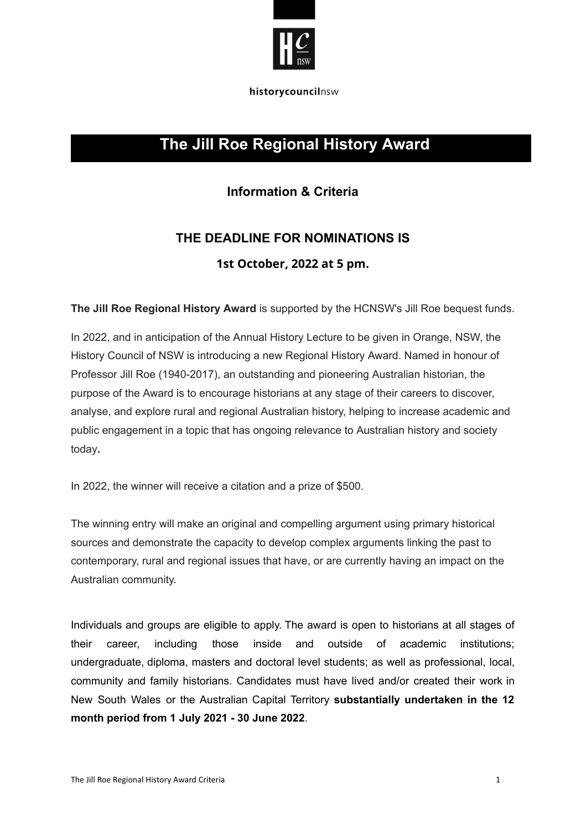

historycouncilnsw

## **The Jill Roe Regional History Award**

### **Information & Criteria**

# **THE DEADLINE FOR NOMINATIONS IS 1st October, 2022 at 5 pm.**

**The Jill Roe Regional History Award** is supported by the HCNSW's Jill Roe bequest funds.

In 2022, and in anticipation of the Annual History Lecture to be given in Orange, NSW, the History Council of NSW is introducing a new Regional History Award. Named in honour of Professor Jill Roe (1940-2017), an outstanding and pioneering Australian historian, the purpose of the Award is to encourage historians at any stage of their careers to discover, analyse, and explore rural and regional Australian history, helping to increase academic and public engagement in a topic that has ongoing relevance to Australian history and society today**.**

In 2022, the winner will receive a citation and a prize of \$500.

The winning entry will make an original and compelling argument using primary historical sources and demonstrate the capacity to develop complex arguments linking the past to contemporary, rural and regional issues that have, or are currently having an impact on the Australian community.

Individuals and groups are eligible to apply. The award is open to historians at all stages of their career, including those inside and outside of academic institutions; undergraduate, diploma, masters and doctoral level students; as well as professional, local, community and family historians. Candidates must have lived and/or created their work in New South Wales or the Australian Capital Territory **substantially undertaken in the 12 month period from 1 July 2021 - 30 June 2022**.